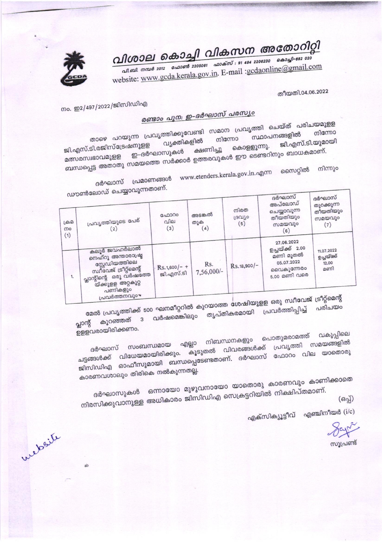വിശാല കൊച്ചി വികസന അതോറിറ്റി

.<br>പി.ബി. നമ്പർ 2012 - ഫോൺ 2205061 - ഫാക്സ് : 91 484 2206230 - കൊച്ചി–682 020 website: www.gcda.kerala.gov.in. E-mail :gcdaonline@gmail.com

തീയതി.04.06.2022

നം. ഇ2/497/2022/ജിസിഡിഎ

## രണ്ടാം പുന: ഇ-ദർഘാസ് പരസ്യം

താഴെ പറയുന്ന പ്രവൃത്തിക്കുവേണ്ടി സമാന പ്രവൃത്തി ചെയ്ത് പരിചയമുളള വ്യക്തികളിൽ ജി.എസ്.ടി.യുമായി ജി.എസ്.ടി.രജിസ്ട്രേഷനുളള കൊളളുന്നു. ബന്ധപ്പെട്ട അതാതു സമയത്തെ സർക്കാർ ഉത്തരവുകൾ ഈ ടെണ്ടറിനും ബാധകമാണ്. ക്ഷണിച്ചു മത്സരസ്വഭാവമുളള ഇ–ദർഘാസുകൾ

ദർഘാസ് പ്രമാണങ്ങൾ www.etenders.kerala.gov.in.എന്ന സൈറ്റിൽ നിന്നും

ഡൗൺലോഡ് ചെയ്യാവുന്നതാണ്.

| $\sim$<br>டுகி<br>നം<br>(1) | പ്രവൃത്തിയുടെ പേര്<br>(2)                                                                                                                      | ഫോറം<br>വില<br>(3)          | അടങ്കൽ<br>തുക<br>(4) | നിരത<br>ശ്രവീം<br>(5) | ദർഘാസ<br>അപ്ലോഡ്<br>ചെയ്യാവുന്ന<br>തീയതിയും<br>സമയവും<br>(6)                          | ദർഘാസ്<br>തുറക്കുന്ന<br>തീയതിയും<br>സമയവും<br>(7) |  |  |
|-----------------------------|------------------------------------------------------------------------------------------------------------------------------------------------|-----------------------------|----------------------|-----------------------|---------------------------------------------------------------------------------------|---------------------------------------------------|--|--|
| 1.                          | കലൂർ ജവഹർലാൽ<br>നെഹ്റു അന്താരാഷ്ട്ര<br>സ്റ്റേഡിയത്തിലെ<br>സ്വീവേജ് ട്രീറ്റ്മെന്റ്<br>പ്ലാന്റിന്റെ ഒരു വർഷത്തേ<br>യ്ക്കുളള അറ്റകുറ്റ<br>പണികളും | $Rs.1,600/-$ +<br>ജി.എസ്.ടി | Rs.<br>7,56,000/-    | Rs.18,900/-           | 27.06.2022<br>ഉച്ചയ്ക്ക് 2.00<br>മണി മൂതൽ<br>05.07.2022<br>വൈകുന്നേരം<br>5.00 മണി വരെ | 11,07.2022<br>ഉച്ചയ്ക്ക്<br>12.00<br>മണി          |  |  |
|                             | പ്രവർത്തനവും                                                                                                                                   |                             |                      |                       | $\sim$ $\sim$ $\sim$ $\sim$ $\sim$ $\sim$                                             |                                                   |  |  |

മേൽ പ്രവൃത്തിക്ക് 500 ഘനമീറ്ററിൽ കുറയാത്ത ശേഷിയുളള ഒരു സ്വീവേജ് ട്രീറ്റ്മെന്റ് പ്ലാന്റ് കുറഞ്ഞത് ദ വർഷമെങ്കിലും തൃപ്തികരമായി പ്രവർത്തിപ്പിച്ച് പരിചയം

ഉളളവരായിരിക്കണം.

website

വകുപ്പിലെ ദർഘാസ് സംബന്ധമായ എല്ലാ നിബന്ധനകളും പൊതുമരാമത്ത് ചട്ടങ്ങൾക്ക് വിധേയമായിരിക്കും. കൂടുതൽ വിവരങ്ങൾക്ക് പ്രവൃത്തി സമയങ്ങളിൽ ജിസിഡിഎ ഓഫീസുമായി ബന്ധപ്പെടേണ്ടതാണ്. ദർഘാസ് ഫോറം വില യാതൊരു

കാരണവശാലും തിരികെ നൽകുന്നതല്ല.

ദർഘാസുകൾ ഒന്നായോ മുഴുവനായോ യാതൊരു കാരണവും കാണിക്കാതെ നിരസിക്കുവാനുള്ള അധികാരം ജിസിഡിഎ സെക്രട്ടറിയിൽ നിക്ഷിപ്തമാണ്.

 $($ ഒപ്പ്)

എക്സിക്യൂട്ടീവ് എഞ്ചിനീയർ  $(i/c)$ 

Say